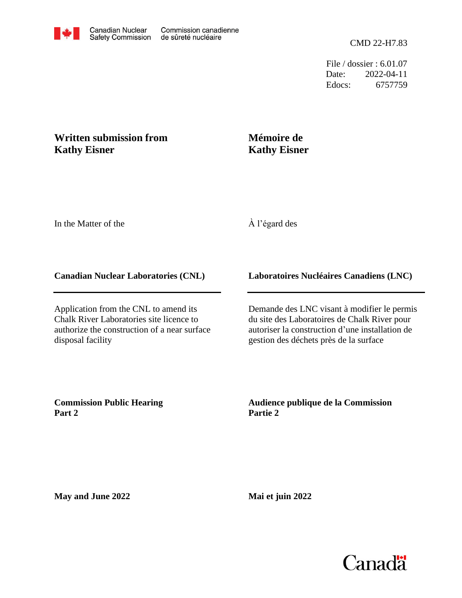File / dossier : 6.01.07 Date: 2022-04-11 Edocs: 6757759

## **Written submission from Kathy Eisner**

# **Mémoire de Kathy Eisner**

In the Matter of the

## À l'égard des

#### **Canadian Nuclear Laboratories (CNL)**

Application from the CNL to amend its Chalk River Laboratories site licence to authorize the construction of a near surface disposal facility

#### **Laboratoires Nucléaires Canadiens (LNC)**

Demande des LNC visant à modifier le permis du site des Laboratoires de Chalk River pour autoriser la construction d'une installation de gestion des déchets près de la surface

**Commission Public Hearing Part 2**

#### **Audience publique de la Commission Partie 2**

**May and June 2022**

**Mai et juin 2022**